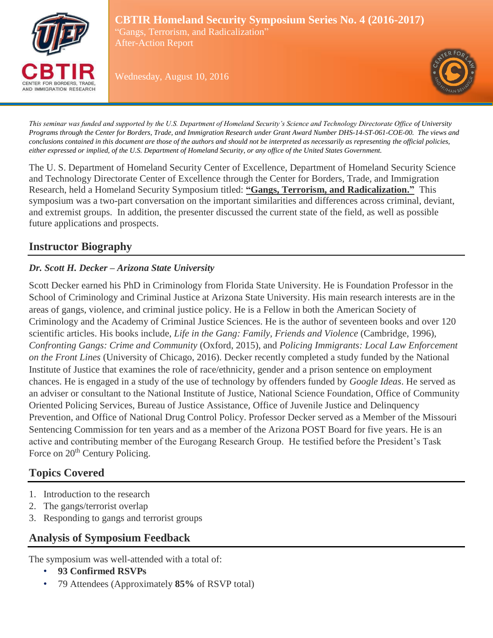

**CBTIR Homeland Security Symposium Series No. 4 (2016-2017)** "Gangs, Terrorism, and Radicalization" After-Action Report

Wednesday, August 10, 2016



*This seminar was funded and supported by the U.S. Department of Homeland Security's Science and Technology Directorate Office of University Programs through the Center for Borders, Trade, and Immigration Research under Grant Award Number DHS-14-ST-061-COE-00. The views and conclusions contained in this document are those of the authors and should not be interpreted as necessarily as representing the official policies, either expressed or implied, of the U.S. Department of Homeland Security, or any office of the United States Government.*

The U. S. Department of Homeland Security Center of Excellence, Department of Homeland Security Science and Technology Directorate Center of Excellence through the Center for Borders, Trade, and Immigration Research, held a Homeland Security Symposium titled: **"Gangs, Terrorism, and Radicalization."** This symposium was a two-part conversation on the important similarities and differences across criminal, deviant, and extremist groups. In addition, the presenter discussed the current state of the field, as well as possible future applications and prospects.

## **Instructor Biography**

## *Dr. Scott H. Decker – Arizona State University*

Scott Decker earned his PhD in Criminology from Florida State University. He is Foundation Professor in the School of Criminology and Criminal Justice at Arizona State University. His main research interests are in the areas of gangs, violence, and criminal justice policy. He is a Fellow in both the American Society of Criminology and the Academy of Criminal Justice Sciences. He is the author of seventeen books and over 120 scientific articles. His books include, *Life in the Gang: Family, Friends and Violence* (Cambridge, 1996), *Confronting Gangs: Crime and Community* (Oxford, 2015), and *Policing Immigrants: Local Law Enforcement on the Front Lines* (University of Chicago, 2016). Decker recently completed a study funded by the National Institute of Justice that examines the role of race/ethnicity, gender and a prison sentence on employment chances. He is engaged in a study of the use of technology by offenders funded by *Google Ideas*. He served as an adviser or consultant to the National Institute of Justice, National Science Foundation, Office of Community Oriented Policing Services, Bureau of Justice Assistance, Office of Juvenile Justice and Delinquency Prevention, and Office of National Drug Control Policy. Professor Decker served as a Member of the Missouri Sentencing Commission for ten years and as a member of the Arizona POST Board for five years. He is an active and contributing member of the Eurogang Research Group. He testified before the President's Task Force on  $20<sup>th</sup>$  Century Policing.

# **Topics Covered**

- 1. Introduction to the research
- 2. The gangs/terrorist overlap
- 3. Responding to gangs and terrorist groups

# **Analysis of Symposium Feedback**

The symposium was well-attended with a total of:

- **93 Confirmed RSVPs**
- 79 Attendees (Approximately **85%** of RSVP total)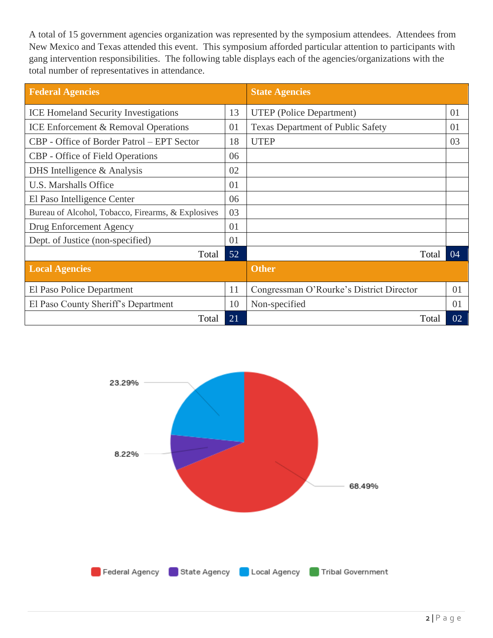A total of 15 government agencies organization was represented by the symposium attendees. Attendees from New Mexico and Texas attended this event. This symposium afforded particular attention to participants with gang intervention responsibilities. The following table displays each of the agencies/organizations with the total number of representatives in attendance.

| <b>Federal Agencies</b>                            |    | <b>State Agencies</b>                    |    |
|----------------------------------------------------|----|------------------------------------------|----|
| <b>ICE Homeland Security Investigations</b>        | 13 | <b>UTEP</b> (Police Department)          | 01 |
| <b>ICE Enforcement &amp; Removal Operations</b>    | 01 | <b>Texas Department of Public Safety</b> | 01 |
| CBP - Office of Border Patrol – EPT Sector         | 18 | <b>UTEP</b>                              | 03 |
| <b>CBP</b> - Office of Field Operations            | 06 |                                          |    |
| DHS Intelligence $&$ Analysis                      | 02 |                                          |    |
| <b>U.S. Marshalls Office</b>                       | 01 |                                          |    |
| El Paso Intelligence Center                        | 06 |                                          |    |
| Bureau of Alcohol, Tobacco, Firearms, & Explosives | 03 |                                          |    |
| Drug Enforcement Agency                            | 01 |                                          |    |
| Dept. of Justice (non-specified)                   | 01 |                                          |    |
| Total                                              | 52 | Total                                    | 04 |
| <b>Local Agencies</b>                              |    | <b>Other</b>                             |    |
| El Paso Police Department                          | 11 | Congressman O'Rourke's District Director | 01 |
| El Paso County Sheriff's Department                | 10 | Non-specified                            | 01 |
| Total                                              | 21 | Total                                    | 02 |

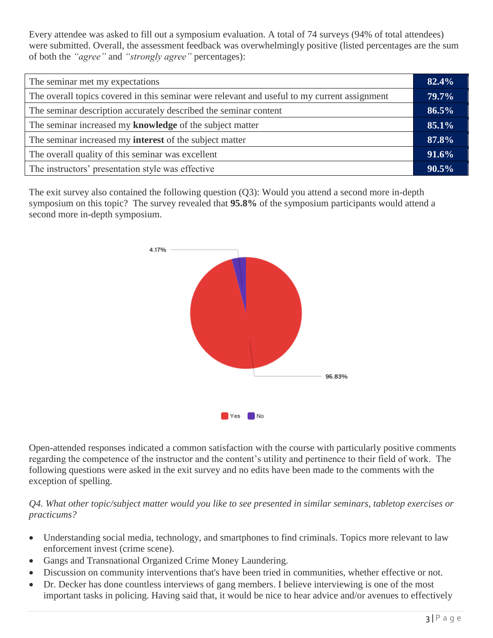Every attendee was asked to fill out a symposium evaluation. A total of 74 surveys (94% of total attendees) were submitted. Overall, the assessment feedback was overwhelmingly positive (listed percentages are the sum of both the *"agree"* and *"strongly agree"* percentages):

| The seminar met my expectations                                                              |  |
|----------------------------------------------------------------------------------------------|--|
| The overall topics covered in this seminar were relevant and useful to my current assignment |  |
| The seminar description accurately described the seminar content                             |  |
| The seminar increased my knowledge of the subject matter                                     |  |
| The seminar increased my <b>interest</b> of the subject matter                               |  |
| The overall quality of this seminar was excellent                                            |  |
| The instructors' presentation style was effective                                            |  |

The exit survey also contained the following question (Q3): Would you attend a second more in-depth symposium on this topic? The survey revealed that **95.8%** of the symposium participants would attend a second more in-depth symposium.



Open-attended responses indicated a common satisfaction with the course with particularly positive comments regarding the competence of the instructor and the content's utility and pertinence to their field of work. The following questions were asked in the exit survey and no edits have been made to the comments with the exception of spelling.

*Q4. What other topic/subject matter would you like to see presented in similar seminars, tabletop exercises or practicums?*

- Understanding social media, technology, and smartphones to find criminals. Topics more relevant to law enforcement invest (crime scene).
- Gangs and Transnational Organized Crime Money Laundering.
- Discussion on community interventions that's have been tried in communities, whether effective or not.
- Dr. Decker has done countless interviews of gang members. I believe interviewing is one of the most important tasks in policing. Having said that, it would be nice to hear advice and/or avenues to effectively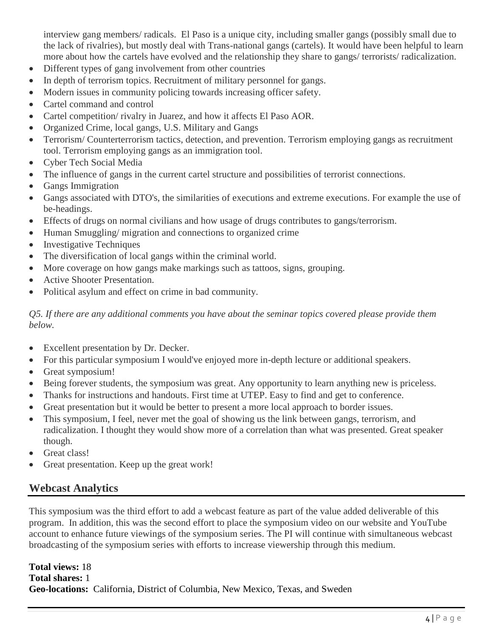interview gang members/ radicals. El Paso is a unique city, including smaller gangs (possibly small due to the lack of rivalries), but mostly deal with Trans-national gangs (cartels). It would have been helpful to learn more about how the cartels have evolved and the relationship they share to gangs/ terrorists/ radicalization.

- Different types of gang involvement from other countries
- In depth of terrorism topics. Recruitment of military personnel for gangs.
- Modern issues in community policing towards increasing officer safety.
- Cartel command and control
- Cartel competition/ rivalry in Juarez, and how it affects El Paso AOR.
- Organized Crime, local gangs, U.S. Military and Gangs
- Terrorism/ Counterterrorism tactics, detection, and prevention. Terrorism employing gangs as recruitment tool. Terrorism employing gangs as an immigration tool.
- Cyber Tech Social Media
- The influence of gangs in the current cartel structure and possibilities of terrorist connections.
- Gangs Immigration
- Gangs associated with DTO's, the similarities of executions and extreme executions. For example the use of be-headings.
- Effects of drugs on normal civilians and how usage of drugs contributes to gangs/terrorism.
- Human Smuggling/ migration and connections to organized crime
- Investigative Techniques
- The diversification of local gangs within the criminal world.
- More coverage on how gangs make markings such as tattoos, signs, grouping.
- Active Shooter Presentation.
- Political asylum and effect on crime in bad community.

*Q5. If there are any additional comments you have about the seminar topics covered please provide them below.* 

- Excellent presentation by Dr. Decker.
- For this particular symposium I would've enjoyed more in-depth lecture or additional speakers.
- Great symposium!
- Being forever students, the symposium was great. Any opportunity to learn anything new is priceless.
- Thanks for instructions and handouts. First time at UTEP. Easy to find and get to conference.
- Great presentation but it would be better to present a more local approach to border issues.
- This symposium, I feel, never met the goal of showing us the link between gangs, terrorism, and radicalization. I thought they would show more of a correlation than what was presented. Great speaker though.
- Great class!
- Great presentation. Keep up the great work!

## **Webcast Analytics**

This symposium was the third effort to add a webcast feature as part of the value added deliverable of this program. In addition, this was the second effort to place the symposium video on our website and YouTube account to enhance future viewings of the symposium series. The PI will continue with simultaneous webcast broadcasting of the symposium series with efforts to increase viewership through this medium.

**Total views:** 18 **Total shares:** 1 **Geo-locations:** California, District of Columbia, New Mexico, Texas, and Sweden